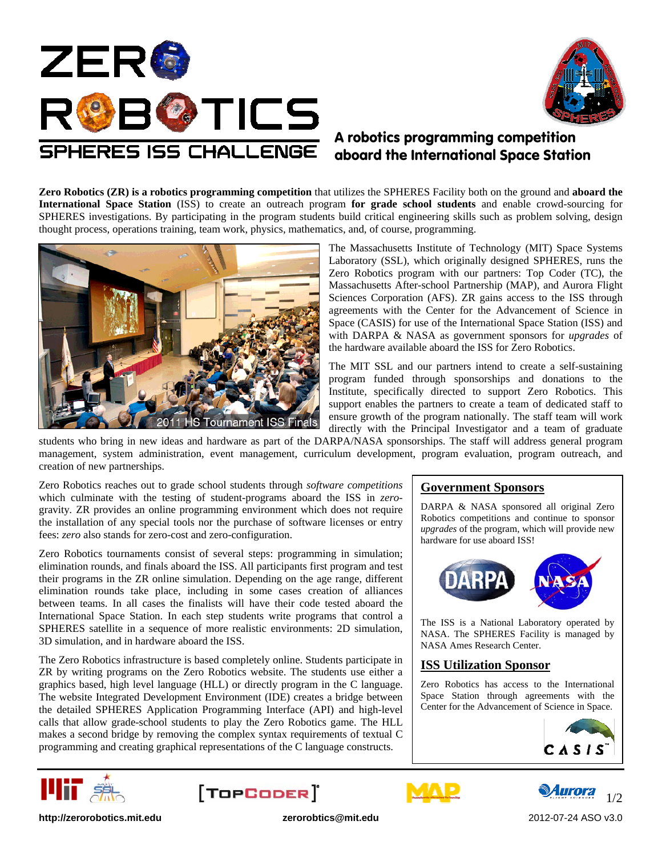



# A robotics programming competition aboard the International Space Station

**Zero Robotics (ZR) is a robotics programming competition** that utilizes the SPHERES Facility both on the ground and **aboard the International Space Station** (ISS) to create an outreach program **for grade school students** and enable crowd-sourcing for SPHERES investigations. By participating in the program students build critical engineering skills such as problem solving, design thought process, operations training, team work, physics, mathematics, and, of course, programming.



The Massachusetts Institute of Technology (MIT) Space Systems Laboratory (SSL), which originally designed SPHERES, runs the Zero Robotics program with our partners: Top Coder (TC), the Massachusetts After-school Partnership (MAP), and Aurora Flight Sciences Corporation (AFS). ZR gains access to the ISS through agreements with the Center for the Advancement of Science in Space (CASIS) for use of the International Space Station (ISS) and with DARPA & NASA as government sponsors for *upgrades* of the hardware available aboard the ISS for Zero Robotics.

The MIT SSL and our partners intend to create a self-sustaining program funded through sponsorships and donations to the Institute, specifically directed to support Zero Robotics. This support enables the partners to create a team of dedicated staff to ensure growth of the program nationally. The staff team will work directly with the Principal Investigator and a team of graduate

students who bring in new ideas and hardware as part of the DARPA/NASA sponsorships. The staff will address general program management, system administration, event management, curriculum development, program evaluation, program outreach, and creation of new partnerships.

Zero Robotics reaches out to grade school students through *software competitions* which culminate with the testing of student-programs aboard the ISS in *zero*gravity*.* ZR provides an online programming environment which does not require the installation of any special tools nor the purchase of software licenses or entry fees: *zero* also stands for zero-cost and zero-configuration.

Zero Robotics tournaments consist of several steps: programming in simulation; elimination rounds, and finals aboard the ISS. All participants first program and test their programs in the ZR online simulation. Depending on the age range, different elimination rounds take place, including in some cases creation of alliances between teams. In all cases the finalists will have their code tested aboard the International Space Station. In each step students write programs that control a SPHERES satellite in a sequence of more realistic environments: 2D simulation, 3D simulation, and in hardware aboard the ISS.

The Zero Robotics infrastructure is based completely online. Students participate in ZR by writing programs on the Zero Robotics website. The students use either a graphics based, high level language (HLL) or directly program in the C language. The website Integrated Development Environment (IDE) creates a bridge between the detailed SPHERES Application Programming Interface (API) and high-level calls that allow grade-school students to play the Zero Robotics game. The HLL makes a second bridge by removing the complex syntax requirements of textual C programming and creating graphical representations of the C language constructs.

### **Government Sponsors**

DARPA & NASA sponsored all original Zero Robotics competitions and continue to sponsor *upgrades* of the program, which will provide new hardware for use aboard ISS!



The ISS is a National Laboratory operated by NASA. The SPHERES Facility is managed by NASA Ames Research Center.

#### **ISS Utilization Sponsor**

Zero Robotics has access to the International Space Station through agreements with the Center for the Advancement of Science in Space.











**http://zerorobotics.mit.edu zerorobtics@mit.edu** 2012-07-24 ASO v3.0